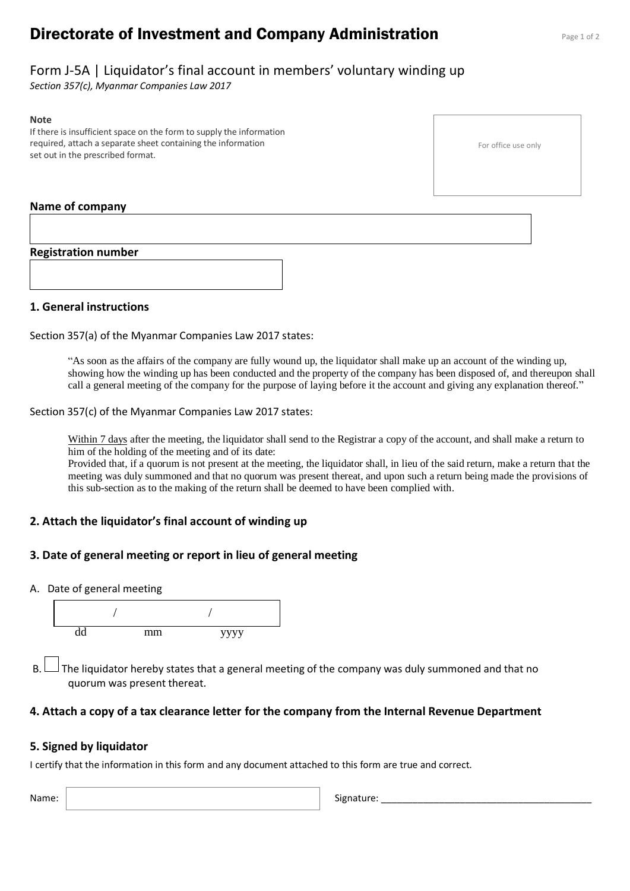# **Directorate of Investment and Company Administration** Page 1 of 2

# Form J-5A | Liquidator's final account in members' voluntary winding up

*Section 357(c), Myanmar Companies Law 2017*

#### **Note**

If there is insufficient space on the form to supply the information required, attach a separate sheet containing the information set out in the prescribed format.

### **Name of company**

#### **Registration number**

#### **1. General instructions**

Section 357(a) of the Myanmar Companies Law 2017 states:

"As soon as the affairs of the company are fully wound up, the liquidator shall make up an account of the winding up, showing how the winding up has been conducted and the property of the company has been disposed of, and thereupon shall call a general meeting of the company for the purpose of laying before it the account and giving any explanation thereof."

Section 357(c) of the Myanmar Companies Law 2017 states:

Within 7 days after the meeting, the liquidator shall send to the Registrar a copy of the account, and shall make a return to him of the holding of the meeting and of its date:

Provided that, if a quorum is not present at the meeting, the liquidator shall, in lieu of the said return, make a return that the meeting was duly summoned and that no quorum was present thereat, and upon such a return being made the provisions of this sub-section as to the making of the return shall be deemed to have been complied with.

### **2. Attach the liquidator's final account of winding up**

### **3. Date of general meeting or report in lieu of general meeting**

A. Date of general meeting



B.  $\Box$  The liquidator hereby states that a general meeting of the company was duly summoned and that no quorum was present thereat.

#### **4. Attach a copy of a tax clearance letter for the company from the Internal Revenue Department**

#### **5. Signed by liquidator**

I certify that the information in this form and any document attached to this form are true and correct.

| Name: | Signature <sup>.</sup> |
|-------|------------------------|
|       |                        |

For office use only